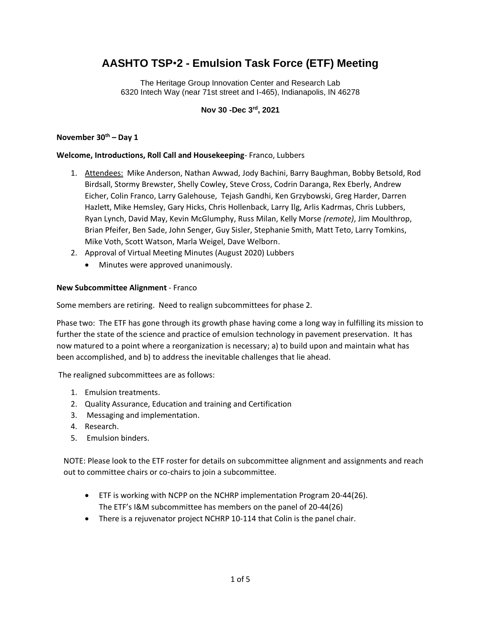# **AASHTO TSP**•**2 - Emulsion Task Force (ETF) Meeting**

The Heritage Group Innovation Center and Research Lab 6320 Intech Way (near 71st street and I-465), Indianapolis, IN 46278

**Nov 30 -Dec 3rd, 2021**

#### **November 30th – Day 1**

#### **Welcome, Introductions, Roll Call and Housekeeping**- Franco, Lubbers

- 1. Attendees: Mike Anderson, Nathan Awwad, Jody Bachini, Barry Baughman, Bobby Betsold, Rod Birdsall, Stormy Brewster, Shelly Cowley, Steve Cross, Codrin Daranga, Rex Eberly, Andrew Eicher, Colin Franco, Larry Galehouse, Tejash Gandhi, Ken Grzybowski, Greg Harder, Darren Hazlett, Mike Hemsley, Gary Hicks, Chris Hollenback, Larry Ilg, Arlis Kadrmas, Chris Lubbers, Ryan Lynch, David May, Kevin McGlumphy, Russ Milan, Kelly Morse *(remote)*, Jim Moulthrop, Brian Pfeifer, Ben Sade, John Senger, Guy Sisler, Stephanie Smith, Matt Teto, Larry Tomkins, Mike Voth, Scott Watson, Marla Weigel, Dave Welborn.
- 2. Approval of Virtual Meeting Minutes (August 2020) Lubbers
	- Minutes were approved unanimously.

#### **New Subcommittee Alignment** - Franco

Some members are retiring. Need to realign subcommittees for phase 2.

Phase two: The ETF has gone through its growth phase having come a long way in fulfilling its mission to further the state of the science and practice of emulsion technology in pavement preservation. It has now matured to a point where a reorganization is necessary; a) to build upon and maintain what has been accomplished, and b) to address the inevitable challenges that lie ahead.

The realigned subcommittees are as follows:

- 1. Emulsion treatments.
- 2. Quality Assurance, Education and training and Certification
- 3. Messaging and implementation.
- 4. Research.
- 5. Emulsion binders.

NOTE: Please look to the ETF roster for details on subcommittee alignment and assignments and reach out to committee chairs or co-chairs to join a subcommittee.

- ETF is working with NCPP on the NCHRP implementation Program 20-44(26). The ETF's I&M subcommittee has members on the panel of 20-44(26)
- There is a rejuvenator project NCHRP 10-114 that Colin is the panel chair.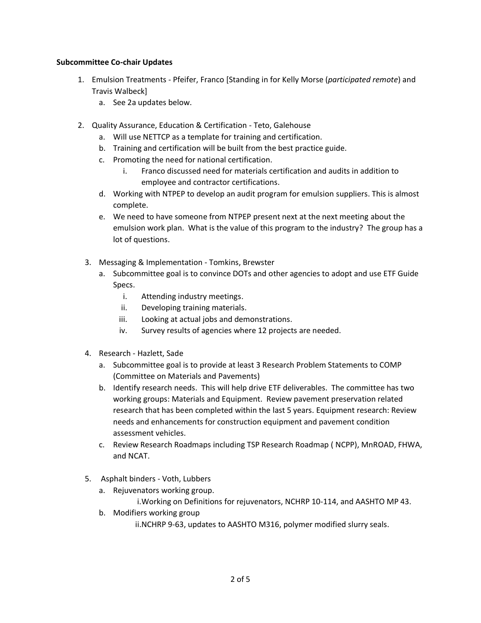#### **Subcommittee Co-chair Updates**

- 1. Emulsion Treatments Pfeifer, Franco [Standing in for Kelly Morse (*participated remote*) and Travis Walbeck]
	- a. See 2a updates below.
- 2. Quality Assurance, Education & Certification Teto, Galehouse
	- a. Will use NETTCP as a template for training and certification.
	- b. Training and certification will be built from the best practice guide.
	- c. Promoting the need for national certification.
		- i. Franco discussed need for materials certification and audits in addition to employee and contractor certifications.
	- d. Working with NTPEP to develop an audit program for emulsion suppliers. This is almost complete.
	- e. We need to have someone from NTPEP present next at the next meeting about the emulsion work plan. What is the value of this program to the industry? The group has a lot of questions.
	- 3. Messaging & Implementation Tomkins, Brewster
		- a. Subcommittee goal is to convince DOTs and other agencies to adopt and use ETF Guide Specs.
			- i. Attending industry meetings.
			- ii. Developing training materials.
			- iii. Looking at actual jobs and demonstrations.
			- iv. Survey results of agencies where 12 projects are needed.
	- 4. Research Hazlett, Sade
		- a. Subcommittee goal is to provide at least 3 Research Problem Statements to COMP (Committee on Materials and Pavements)
		- b. Identify research needs. This will help drive ETF deliverables. The committee has two working groups: Materials and Equipment. Review pavement preservation related research that has been completed within the last 5 years. Equipment research: Review needs and enhancements for construction equipment and pavement condition assessment vehicles.
		- c. Review Research Roadmaps including TSP Research Roadmap ( NCPP), MnROAD, FHWA, and NCAT.
	- 5. Asphalt binders Voth, Lubbers
		- a. Rejuvenators working group.

i.Working on Definitions for rejuvenators, NCHRP 10-114, and AASHTO MP 43.

b. Modifiers working group

ii.NCHRP 9-63, updates to AASHTO M316, polymer modified slurry seals.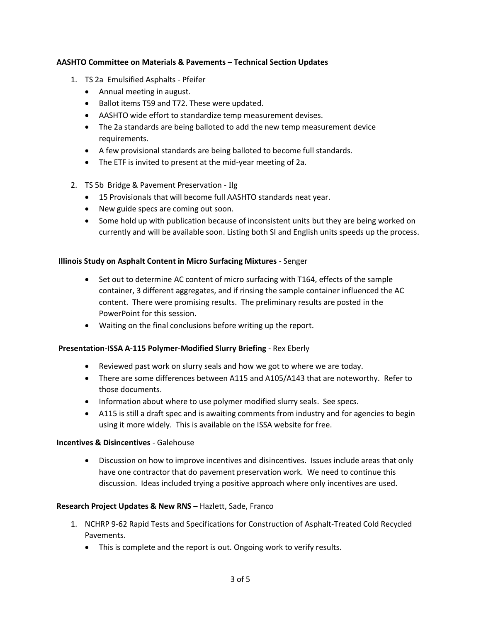### **AASHTO Committee on Materials & Pavements – Technical Section Updates**

- 1. TS 2a Emulsified Asphalts Pfeifer
	- Annual meeting in august.
	- Ballot items T59 and T72. These were updated.
	- AASHTO wide effort to standardize temp measurement devises.
	- The 2a standards are being balloted to add the new temp measurement device requirements.
	- A few provisional standards are being balloted to become full standards.
	- The ETF is invited to present at the mid-year meeting of 2a.
- 2. TS 5b Bridge & Pavement Preservation Ilg
	- 15 Provisionals that will become full AASHTO standards neat year.
	- New guide specs are coming out soon.
	- Some hold up with publication because of inconsistent units but they are being worked on currently and will be available soon. Listing both SI and English units speeds up the process.

#### **Illinois Study on Asphalt Content in Micro Surfacing Mixtures** - Senger

- Set out to determine AC content of micro surfacing with T164, effects of the sample container, 3 different aggregates, and if rinsing the sample container influenced the AC content. There were promising results. The preliminary results are posted in the PowerPoint for this session.
- Waiting on the final conclusions before writing up the report.

#### **Presentation-ISSA A-115 Polymer-Modified Slurry Briefing** - Rex Eberly

- Reviewed past work on slurry seals and how we got to where we are today.
- There are some differences between A115 and A105/A143 that are noteworthy. Refer to those documents.
- Information about where to use polymer modified slurry seals. See specs.
- A115 is still a draft spec and is awaiting comments from industry and for agencies to begin using it more widely. This is available on the ISSA website for free.

#### **Incentives & Disincentives** - Galehouse

• Discussion on how to improve incentives and disincentives. Issues include areas that only have one contractor that do pavement preservation work. We need to continue this discussion. Ideas included trying a positive approach where only incentives are used.

#### **Research Project Updates & New RNS** – Hazlett, Sade, Franco

- 1. NCHRP 9-62 Rapid Tests and Specifications for Construction of Asphalt-Treated Cold Recycled Pavements.
	- This is complete and the report is out. Ongoing work to verify results.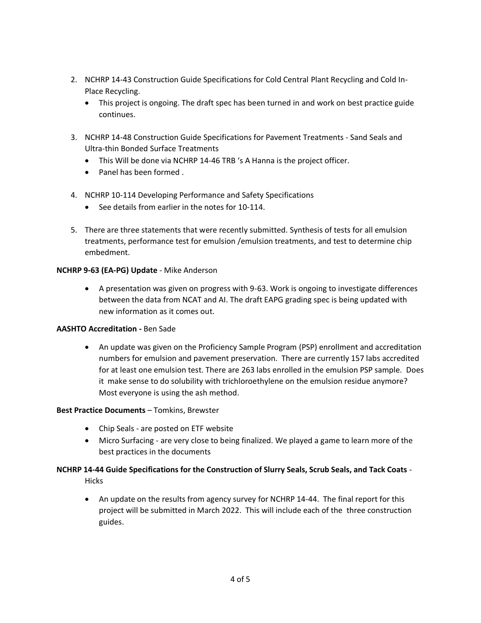- 2. NCHRP 14-43 Construction Guide Specifications for Cold Central Plant Recycling and Cold In-Place Recycling.
	- This project is ongoing. The draft spec has been turned in and work on best practice guide continues.
- 3. NCHRP 14-48 Construction Guide Specifications for Pavement Treatments Sand Seals and Ultra-thin Bonded Surface Treatments
	- This Will be done via NCHRP 14-46 TRB 's A Hanna is the project officer.
	- Panel has been formed .
- 4. NCHRP 10-114 Developing Performance and Safety Specifications
	- See details from earlier in the notes for 10-114.
- 5. There are three statements that were recently submitted. Synthesis of tests for all emulsion treatments, performance test for emulsion /emulsion treatments, and test to determine chip embedment.

# **NCHRP 9-63 (EA-PG) Update** - Mike Anderson

• A presentation was given on progress with 9-63. Work is ongoing to investigate differences between the data from NCAT and AI. The draft EAPG grading spec is being updated with new information as it comes out.

#### **AASHTO Accreditation -** Ben Sade

• An update was given on the Proficiency Sample Program (PSP) enrollment and accreditation numbers for emulsion and pavement preservation. There are currently 157 labs accredited for at least one emulsion test. There are 263 labs enrolled in the emulsion PSP sample. Does it make sense to do solubility with trichloroethylene on the emulsion residue anymore? Most everyone is using the ash method.

#### **Best Practice Documents** – Tomkins, Brewster

- Chip Seals are posted on ETF website
- Micro Surfacing are very close to being finalized. We played a game to learn more of the best practices in the documents

# **NCHRP 14-44 Guide Specifications for the Construction of Slurry Seals, Scrub Seals, and Tack Coats** -

**Hicks** 

• An update on the results from agency survey for NCHRP 14-44. The final report for this project will be submitted in March 2022. This will include each of the three construction guides.